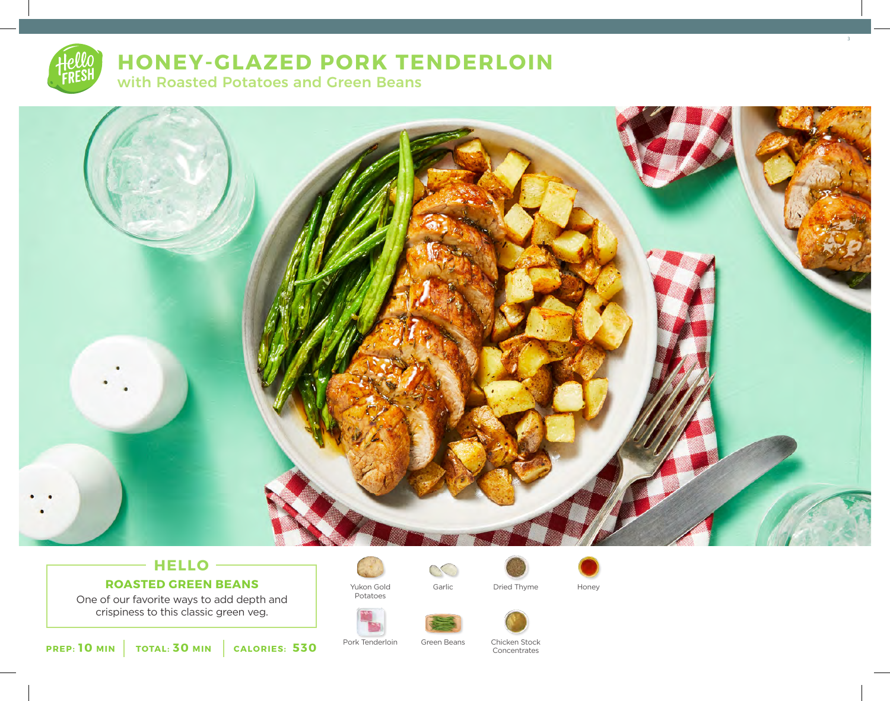

# **HONEY-GLAZED PORK TENDERLOIN**

with Roasted Potatoes and Green Beans



# **HELLO ROASTED GREEN BEANS**

One of our favorite ways to add depth and crispiness to this classic green veg.



Yukon Gold Potatoes

 $\infty$ Garlic Dried Thyme Honey



3





Pork Tenderloin Green Beans Chicken Stock Green Beans

Concentrates